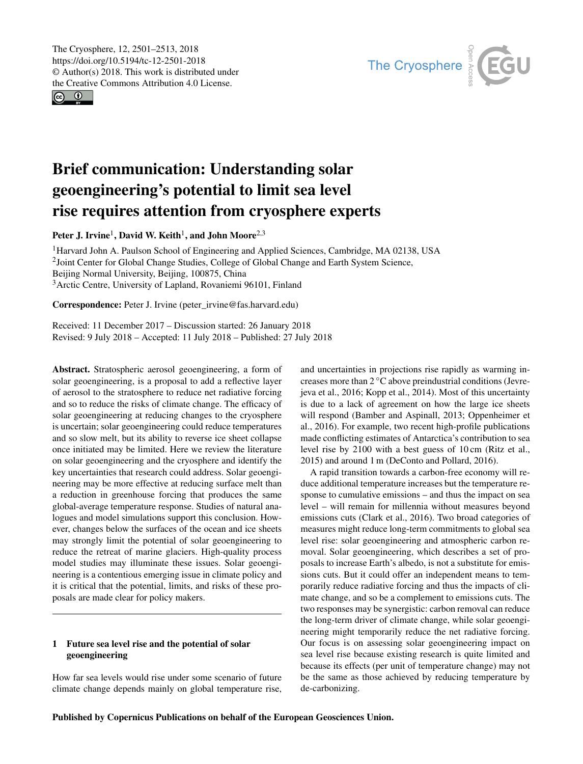<span id="page-0-1"></span> $\circledcirc$ 



# Brief communication: Understanding solar geoengineering's potential to limit sea level rise requires attention from cryosphere experts

Peter J. Irvine<sup>[1](#page-0-0)</sup>, David W. Keith<sup>1</sup>, and John Moore<sup>[2,3](#page-0-0)</sup>

<sup>1</sup>Harvard John A. Paulson School of Engineering and Applied Sciences, Cambridge, MA 02138, USA <sup>2</sup>Joint Center for Global Change Studies, College of Global Change and Earth System Science, Beijing Normal University, Beijing, 100875, China <sup>3</sup> Arctic Centre, University of Lapland, Rovaniemi 96101, Finland

Correspondence: Peter J. Irvine (peter\_irvine@fas.harvard.edu)

Received: 11 December 2017 – Discussion started: 26 January 2018 Revised: 9 July 2018 – Accepted: 11 July 2018 – Published: 27 July 2018

<span id="page-0-0"></span>Abstract. Stratospheric aerosol geoengineering, a form of solar geoengineering, is a proposal to add a reflective layer of aerosol to the stratosphere to reduce net radiative forcing and so to reduce the risks of climate change. The efficacy of solar geoengineering at reducing changes to the cryosphere is uncertain; solar geoengineering could reduce temperatures and so slow melt, but its ability to reverse ice sheet collapse once initiated may be limited. Here we review the literature on solar geoengineering and the cryosphere and identify the key uncertainties that research could address. Solar geoengineering may be more effective at reducing surface melt than a reduction in greenhouse forcing that produces the same global-average temperature response. Studies of natural analogues and model simulations support this conclusion. However, changes below the surfaces of the ocean and ice sheets may strongly limit the potential of solar geoengineering to reduce the retreat of marine glaciers. High-quality process model studies may illuminate these issues. Solar geoengineering is a contentious emerging issue in climate policy and it is critical that the potential, limits, and risks of these proposals are made clear for policy makers.

# 1 Future sea level rise and the potential of solar geoengineering

How far sea levels would rise under some scenario of future climate change depends mainly on global temperature rise, and uncertainties in projections rise rapidly as warming increases more than 2 ◦C above preindustrial conditions (Jevrejeva et al., 2016; Kopp et al., 2014). Most of this uncertainty is due to a lack of agreement on how the large ice sheets will respond (Bamber and Aspinall, 2013; Oppenheimer et al., 2016). For example, two recent high-profile publications made conflicting estimates of Antarctica's contribution to sea level rise by 2100 with a best guess of 10 cm (Ritz et al., 2015) and around 1 m (DeConto and Pollard, 2016).

A rapid transition towards a carbon-free economy will reduce additional temperature increases but the temperature response to cumulative emissions – and thus the impact on sea level – will remain for millennia without measures beyond emissions cuts (Clark et al., 2016). Two broad categories of measures might reduce long-term commitments to global sea level rise: solar geoengineering and atmospheric carbon removal. Solar geoengineering, which describes a set of proposals to increase Earth's albedo, is not a substitute for emissions cuts. But it could offer an independent means to temporarily reduce radiative forcing and thus the impacts of climate change, and so be a complement to emissions cuts. The two responses may be synergistic: carbon removal can reduce the long-term driver of climate change, while solar geoengineering might temporarily reduce the net radiative forcing. Our focus is on assessing solar geoengineering impact on sea level rise because existing research is quite limited and because its effects (per unit of temperature change) may not be the same as those achieved by reducing temperature by de-carbonizing.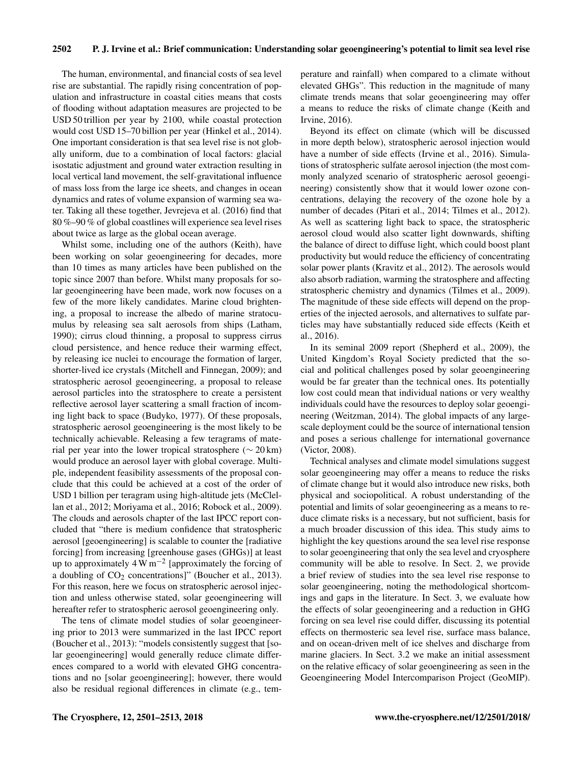The human, environmental, and financial costs of sea level rise are substantial. The rapidly rising concentration of population and infrastructure in coastal cities means that costs of flooding without adaptation measures are projected to be USD 50 trillion per year by 2100, while coastal protection would cost USD 15–70 billion per year (Hinkel et al., 2014). One important consideration is that sea level rise is not globally uniform, due to a combination of local factors: glacial isostatic adjustment and ground water extraction resulting in local vertical land movement, the self-gravitational influence of mass loss from the large ice sheets, and changes in ocean dynamics and rates of volume expansion of warming sea water. Taking all these together, Jevrejeva et al. (2016) find that 80 %–90 % of global coastlines will experience sea level rises about twice as large as the global ocean average.

Whilst some, including one of the authors (Keith), have been working on solar geoengineering for decades, more than 10 times as many articles have been published on the topic since 2007 than before. Whilst many proposals for solar geoengineering have been made, work now focuses on a few of the more likely candidates. Marine cloud brightening, a proposal to increase the albedo of marine stratocumulus by releasing sea salt aerosols from ships (Latham, 1990); cirrus cloud thinning, a proposal to suppress cirrus cloud persistence, and hence reduce their warming effect, by releasing ice nuclei to encourage the formation of larger, shorter-lived ice crystals (Mitchell and Finnegan, 2009); and stratospheric aerosol geoengineering, a proposal to release aerosol particles into the stratosphere to create a persistent reflective aerosol layer scattering a small fraction of incoming light back to space (Budyko, 1977). Of these proposals, stratospheric aerosol geoengineering is the most likely to be technically achievable. Releasing a few teragrams of material per year into the lower tropical stratosphere ( $\sim$  20 km) would produce an aerosol layer with global coverage. Multiple, independent feasibility assessments of the proposal conclude that this could be achieved at a cost of the order of USD 1 billion per teragram using high-altitude jets (McClellan et al., 2012; Moriyama et al., 2016; Robock et al., 2009). The clouds and aerosols chapter of the last IPCC report concluded that "there is medium confidence that stratospheric aerosol [geoengineering] is scalable to counter the [radiative forcing] from increasing [greenhouse gases (GHGs)] at least up to approximately 4 W m−<sup>2</sup> [approximately the forcing of a doubling of CO<sub>2</sub> concentrations]" (Boucher et al., 2013). For this reason, here we focus on stratospheric aerosol injection and unless otherwise stated, solar geoengineering will hereafter refer to stratospheric aerosol geoengineering only.

The tens of climate model studies of solar geoengineering prior to 2013 were summarized in the last IPCC report (Boucher et al., 2013): "models consistently suggest that [solar geoengineering] would generally reduce climate differences compared to a world with elevated GHG concentrations and no [solar geoengineering]; however, there would also be residual regional differences in climate (e.g., temperature and rainfall) when compared to a climate without elevated GHGs". This reduction in the magnitude of many climate trends means that solar geoengineering may offer a means to reduce the risks of climate change (Keith and Irvine, 2016).

Beyond its effect on climate (which will be discussed in more depth below), stratospheric aerosol injection would have a number of side effects (Irvine et al., 2016). Simulations of stratospheric sulfate aerosol injection (the most commonly analyzed scenario of stratospheric aerosol geoengineering) consistently show that it would lower ozone concentrations, delaying the recovery of the ozone hole by a number of decades (Pitari et al., 2014; Tilmes et al., 2012). As well as scattering light back to space, the stratospheric aerosol cloud would also scatter light downwards, shifting the balance of direct to diffuse light, which could boost plant productivity but would reduce the efficiency of concentrating solar power plants (Kravitz et al., 2012). The aerosols would also absorb radiation, warming the stratosphere and affecting stratospheric chemistry and dynamics (Tilmes et al., 2009). The magnitude of these side effects will depend on the properties of the injected aerosols, and alternatives to sulfate particles may have substantially reduced side effects (Keith et al., 2016).

In its seminal 2009 report (Shepherd et al., 2009), the United Kingdom's Royal Society predicted that the social and political challenges posed by solar geoengineering would be far greater than the technical ones. Its potentially low cost could mean that individual nations or very wealthy individuals could have the resources to deploy solar geoengineering (Weitzman, 2014). The global impacts of any largescale deployment could be the source of international tension and poses a serious challenge for international governance (Victor, 2008).

Technical analyses and climate model simulations suggest solar geoengineering may offer a means to reduce the risks of climate change but it would also introduce new risks, both physical and sociopolitical. A robust understanding of the potential and limits of solar geoengineering as a means to reduce climate risks is a necessary, but not sufficient, basis for a much broader discussion of this idea. This study aims to highlight the key questions around the sea level rise response to solar geoengineering that only the sea level and cryosphere community will be able to resolve. In Sect. 2, we provide a brief review of studies into the sea level rise response to solar geoengineering, noting the methodological shortcomings and gaps in the literature. In Sect. 3, we evaluate how the effects of solar geoengineering and a reduction in GHG forcing on sea level rise could differ, discussing its potential effects on thermosteric sea level rise, surface mass balance, and on ocean-driven melt of ice shelves and discharge from marine glaciers. In Sect. 3.2 we make an initial assessment on the relative efficacy of solar geoengineering as seen in the Geoengineering Model Intercomparison Project (GeoMIP).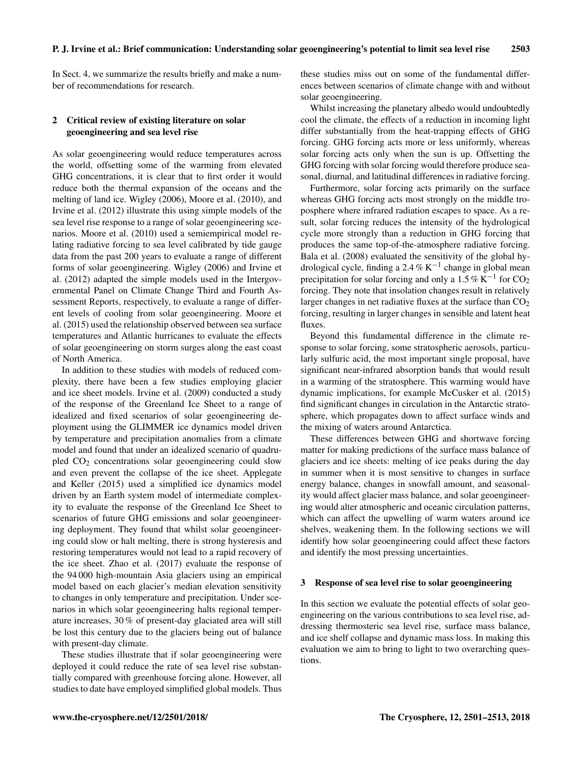In Sect. 4, we summarize the results briefly and make a number of recommendations for research.

## 2 Critical review of existing literature on solar geoengineering and sea level rise

As solar geoengineering would reduce temperatures across the world, offsetting some of the warming from elevated GHG concentrations, it is clear that to first order it would reduce both the thermal expansion of the oceans and the melting of land ice. Wigley (2006), Moore et al. (2010), and Irvine et al. (2012) illustrate this using simple models of the sea level rise response to a range of solar geoengineering scenarios. Moore et al. (2010) used a semiempirical model relating radiative forcing to sea level calibrated by tide gauge data from the past 200 years to evaluate a range of different forms of solar geoengineering. Wigley (2006) and Irvine et al. (2012) adapted the simple models used in the Intergovernmental Panel on Climate Change Third and Fourth Assessment Reports, respectively, to evaluate a range of different levels of cooling from solar geoengineering. Moore et al. (2015) used the relationship observed between sea surface temperatures and Atlantic hurricanes to evaluate the effects of solar geoengineering on storm surges along the east coast of North America.

In addition to these studies with models of reduced complexity, there have been a few studies employing glacier and ice sheet models. Irvine et al. (2009) conducted a study of the response of the Greenland Ice Sheet to a range of idealized and fixed scenarios of solar geoengineering deployment using the GLIMMER ice dynamics model driven by temperature and precipitation anomalies from a climate model and found that under an idealized scenario of quadrupled CO<sup>2</sup> concentrations solar geoengineering could slow and even prevent the collapse of the ice sheet. Applegate and Keller (2015) used a simplified ice dynamics model driven by an Earth system model of intermediate complexity to evaluate the response of the Greenland Ice Sheet to scenarios of future GHG emissions and solar geoengineering deployment. They found that whilst solar geoengineering could slow or halt melting, there is strong hysteresis and restoring temperatures would not lead to a rapid recovery of the ice sheet. Zhao et al. (2017) evaluate the response of the 94 000 high-mountain Asia glaciers using an empirical model based on each glacier's median elevation sensitivity to changes in only temperature and precipitation. Under scenarios in which solar geoengineering halts regional temperature increases, 30 % of present-day glaciated area will still be lost this century due to the glaciers being out of balance with present-day climate.

These studies illustrate that if solar geoengineering were deployed it could reduce the rate of sea level rise substantially compared with greenhouse forcing alone. However, all studies to date have employed simplified global models. Thus these studies miss out on some of the fundamental differences between scenarios of climate change with and without solar geoengineering.

Whilst increasing the planetary albedo would undoubtedly cool the climate, the effects of a reduction in incoming light differ substantially from the heat-trapping effects of GHG forcing. GHG forcing acts more or less uniformly, whereas solar forcing acts only when the sun is up. Offsetting the GHG forcing with solar forcing would therefore produce seasonal, diurnal, and latitudinal differences in radiative forcing.

Furthermore, solar forcing acts primarily on the surface whereas GHG forcing acts most strongly on the middle troposphere where infrared radiation escapes to space. As a result, solar forcing reduces the intensity of the hydrological cycle more strongly than a reduction in GHG forcing that produces the same top-of-the-atmosphere radiative forcing. Bala et al. (2008) evaluated the sensitivity of the global hydrological cycle, finding a 2.4 % K<sup>-1</sup> change in global mean precipitation for solar forcing and only a  $1.5\%$  K<sup>-1</sup> for CO<sub>2</sub> forcing. They note that insolation changes result in relatively larger changes in net radiative fluxes at the surface than  $CO<sub>2</sub>$ forcing, resulting in larger changes in sensible and latent heat fluxes.

Beyond this fundamental difference in the climate response to solar forcing, some stratospheric aerosols, particularly sulfuric acid, the most important single proposal, have significant near-infrared absorption bands that would result in a warming of the stratosphere. This warming would have dynamic implications, for example McCusker et al. (2015) find significant changes in circulation in the Antarctic stratosphere, which propagates down to affect surface winds and the mixing of waters around Antarctica.

These differences between GHG and shortwave forcing matter for making predictions of the surface mass balance of glaciers and ice sheets: melting of ice peaks during the day in summer when it is most sensitive to changes in surface energy balance, changes in snowfall amount, and seasonality would affect glacier mass balance, and solar geoengineering would alter atmospheric and oceanic circulation patterns, which can affect the upwelling of warm waters around ice shelves, weakening them. In the following sections we will identify how solar geoengineering could affect these factors and identify the most pressing uncertainties.

#### 3 Response of sea level rise to solar geoengineering

In this section we evaluate the potential effects of solar geoengineering on the various contributions to sea level rise, addressing thermosteric sea level rise, surface mass balance, and ice shelf collapse and dynamic mass loss. In making this evaluation we aim to bring to light to two overarching questions.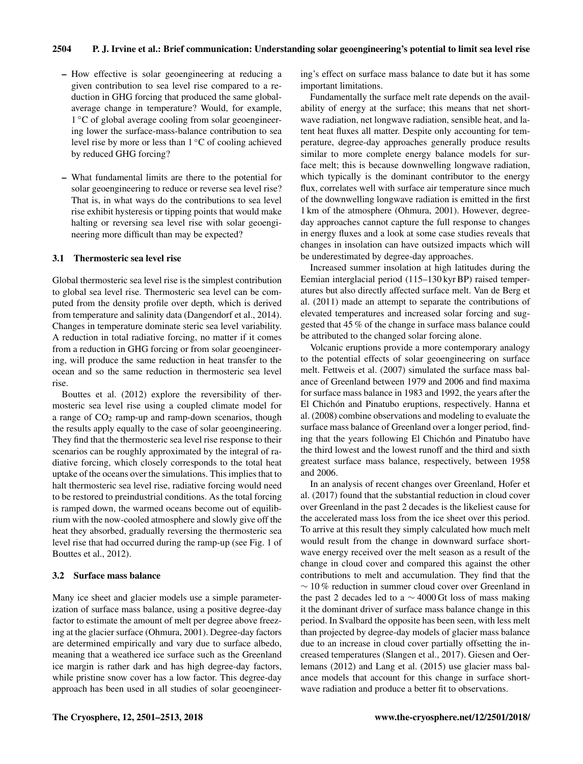- How effective is solar geoengineering at reducing a given contribution to sea level rise compared to a reduction in GHG forcing that produced the same globalaverage change in temperature? Would, for example, 1 ◦C of global average cooling from solar geoengineering lower the surface-mass-balance contribution to sea level rise by more or less than 1 ◦C of cooling achieved by reduced GHG forcing?
- What fundamental limits are there to the potential for solar geoengineering to reduce or reverse sea level rise? That is, in what ways do the contributions to sea level rise exhibit hysteresis or tipping points that would make halting or reversing sea level rise with solar geoengineering more difficult than may be expected?

## 3.1 Thermosteric sea level rise

Global thermosteric sea level rise is the simplest contribution to global sea level rise. Thermosteric sea level can be computed from the density profile over depth, which is derived from temperature and salinity data (Dangendorf et al., 2014). Changes in temperature dominate steric sea level variability. A reduction in total radiative forcing, no matter if it comes from a reduction in GHG forcing or from solar geoengineering, will produce the same reduction in heat transfer to the ocean and so the same reduction in thermosteric sea level rise.

Bouttes et al. (2012) explore the reversibility of thermosteric sea level rise using a coupled climate model for a range of  $CO<sub>2</sub>$  ramp-up and ramp-down scenarios, though the results apply equally to the case of solar geoengineering. They find that the thermosteric sea level rise response to their scenarios can be roughly approximated by the integral of radiative forcing, which closely corresponds to the total heat uptake of the oceans over the simulations. This implies that to halt thermosteric sea level rise, radiative forcing would need to be restored to preindustrial conditions. As the total forcing is ramped down, the warmed oceans become out of equilibrium with the now-cooled atmosphere and slowly give off the heat they absorbed, gradually reversing the thermosteric sea level rise that had occurred during the ramp-up (see Fig. 1 of Bouttes et al., 2012).

#### 3.2 Surface mass balance

Many ice sheet and glacier models use a simple parameterization of surface mass balance, using a positive degree-day factor to estimate the amount of melt per degree above freezing at the glacier surface (Ohmura, 2001). Degree-day factors are determined empirically and vary due to surface albedo, meaning that a weathered ice surface such as the Greenland ice margin is rather dark and has high degree-day factors, while pristine snow cover has a low factor. This degree-day approach has been used in all studies of solar geoengineering's effect on surface mass balance to date but it has some important limitations.

Fundamentally the surface melt rate depends on the availability of energy at the surface; this means that net shortwave radiation, net longwave radiation, sensible heat, and latent heat fluxes all matter. Despite only accounting for temperature, degree-day approaches generally produce results similar to more complete energy balance models for surface melt; this is because downwelling longwave radiation, which typically is the dominant contributor to the energy flux, correlates well with surface air temperature since much of the downwelling longwave radiation is emitted in the first 1 km of the atmosphere (Ohmura, 2001). However, degreeday approaches cannot capture the full response to changes in energy fluxes and a look at some case studies reveals that changes in insolation can have outsized impacts which will be underestimated by degree-day approaches.

Increased summer insolation at high latitudes during the Eemian interglacial period (115–130 kyr BP) raised temperatures but also directly affected surface melt. Van de Berg et al. (2011) made an attempt to separate the contributions of elevated temperatures and increased solar forcing and suggested that 45 % of the change in surface mass balance could be attributed to the changed solar forcing alone.

Volcanic eruptions provide a more contemporary analogy to the potential effects of solar geoengineering on surface melt. Fettweis et al. (2007) simulated the surface mass balance of Greenland between 1979 and 2006 and find maxima for surface mass balance in 1983 and 1992, the years after the El Chichón and Pinatubo eruptions, respectively. Hanna et al. (2008) combine observations and modeling to evaluate the surface mass balance of Greenland over a longer period, finding that the years following El Chichón and Pinatubo have the third lowest and the lowest runoff and the third and sixth greatest surface mass balance, respectively, between 1958 and 2006.

In an analysis of recent changes over Greenland, Hofer et al. (2017) found that the substantial reduction in cloud cover over Greenland in the past 2 decades is the likeliest cause for the accelerated mass loss from the ice sheet over this period. To arrive at this result they simply calculated how much melt would result from the change in downward surface shortwave energy received over the melt season as a result of the change in cloud cover and compared this against the other contributions to melt and accumulation. They find that the ∼ 10 % reduction in summer cloud cover over Greenland in the past 2 decades led to a  $\sim$  4000 Gt loss of mass making it the dominant driver of surface mass balance change in this period. In Svalbard the opposite has been seen, with less melt than projected by degree-day models of glacier mass balance due to an increase in cloud cover partially offsetting the increased temperatures (Slangen et al., 2017). Giesen and Oerlemans (2012) and Lang et al. (2015) use glacier mass balance models that account for this change in surface shortwave radiation and produce a better fit to observations.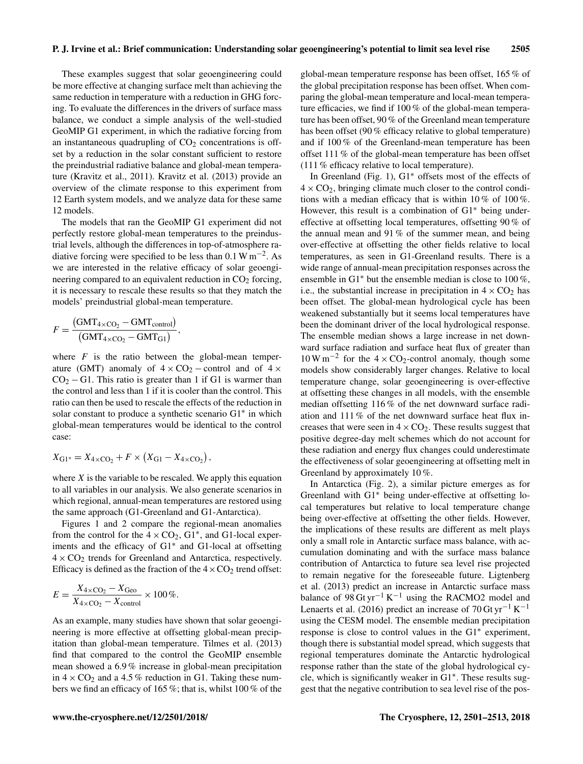These examples suggest that solar geoengineering could be more effective at changing surface melt than achieving the same reduction in temperature with a reduction in GHG forcing. To evaluate the differences in the drivers of surface mass balance, we conduct a simple analysis of the well-studied GeoMIP G1 experiment, in which the radiative forcing from an instantaneous quadrupling of  $CO<sub>2</sub>$  concentrations is offset by a reduction in the solar constant sufficient to restore the preindustrial radiative balance and global-mean temperature (Kravitz et al., 2011). Kravitz et al. (2013) provide an overview of the climate response to this experiment from 12 Earth system models, and we analyze data for these same 12 models.

The models that ran the GeoMIP G1 experiment did not perfectly restore global-mean temperatures to the preindustrial levels, although the differences in top-of-atmosphere radiative forcing were specified to be less than  $0.1 \,\mathrm{W\,m^{-2}}$ . As we are interested in the relative efficacy of solar geoengineering compared to an equivalent reduction in  $CO<sub>2</sub>$  forcing, it is necessary to rescale these results so that they match the models' preindustrial global-mean temperature.

$$
F = \frac{(\text{GMT}_{4 \times \text{CO}_2} - \text{GMT}_{\text{control}})}{(\text{GMT}_{4 \times \text{CO}_2} - \text{GMT}_{\text{G1}})},
$$

where  $F$  is the ratio between the global-mean temperature (GMT) anomaly of  $4 \times CO_2$  – control and of  $4 \times$  $CO<sub>2</sub> - G1$ . This ratio is greater than 1 if G1 is warmer than the control and less than 1 if it is cooler than the control. This ratio can then be used to rescale the effects of the reduction in solar constant to produce a synthetic scenario G1<sup>∗</sup> in which global-mean temperatures would be identical to the control case:

$$
X_{G1^*} = X_{4 \times CO_2} + F \times (X_{G1} - X_{4 \times CO_2}),
$$

where  $X$  is the variable to be rescaled. We apply this equation to all variables in our analysis. We also generate scenarios in which regional, annual-mean temperatures are restored using the same approach (G1-Greenland and G1-Antarctica).

Figures 1 and 2 compare the regional-mean anomalies from the control for the  $4 \times CO_2$ ,  $GI^*$ , and G1-local experiments and the efficacy of G1<sup>∗</sup> and G1-local at offsetting  $4 \times CO<sub>2</sub>$  trends for Greenland and Antarctica, respectively. Efficacy is defined as the fraction of the  $4 \times CO_2$  trend offset:

$$
E = \frac{X_{4 \times \text{CO}_2} - X_{\text{Geo}}}{X_{4 \times \text{CO}_2} - X_{\text{control}}} \times 100\,\%.
$$

As an example, many studies have shown that solar geoengineering is more effective at offsetting global-mean precipitation than global-mean temperature. Tilmes et al. (2013) find that compared to the control the GeoMIP ensemble mean showed a 6.9 % increase in global-mean precipitation in  $4 \times CO_2$  and a 4.5% reduction in G1. Taking these numbers we find an efficacy of 165 %; that is, whilst 100 % of the global-mean temperature response has been offset, 165 % of the global precipitation response has been offset. When comparing the global-mean temperature and local-mean temperature efficacies, we find if 100 % of the global-mean temperature has been offset, 90 % of the Greenland mean temperature has been offset (90 % efficacy relative to global temperature) and if 100 % of the Greenland-mean temperature has been offset 111 % of the global-mean temperature has been offset (111 % efficacy relative to local temperature).

In Greenland (Fig. 1), G1<sup>∗</sup> offsets most of the effects of  $4 \times CO<sub>2</sub>$ , bringing climate much closer to the control conditions with a median efficacy that is within 10 % of 100 %. However, this result is a combination of G1<sup>∗</sup> being undereffective at offsetting local temperatures, offsetting 90 % of the annual mean and 91 % of the summer mean, and being over-effective at offsetting the other fields relative to local temperatures, as seen in G1-Greenland results. There is a wide range of annual-mean precipitation responses across the ensemble in G1<sup>\*</sup> but the ensemble median is close to 100 %, i.e., the substantial increase in precipitation in  $4 \times CO<sub>2</sub>$  has been offset. The global-mean hydrological cycle has been weakened substantially but it seems local temperatures have been the dominant driver of the local hydrological response. The ensemble median shows a large increase in net downward surface radiation and surface heat flux of greater than  $10 \text{ W m}^{-2}$  for the  $4 \times \text{CO}_2$ -control anomaly, though some models show considerably larger changes. Relative to local temperature change, solar geoengineering is over-effective at offsetting these changes in all models, with the ensemble median offsetting 116 % of the net downward surface radiation and 111 % of the net downward surface heat flux increases that were seen in  $4 \times CO_2$ . These results suggest that positive degree-day melt schemes which do not account for these radiation and energy flux changes could underestimate the effectiveness of solar geoengineering at offsetting melt in Greenland by approximately 10 %.

In Antarctica (Fig. 2), a similar picture emerges as for Greenland with G1<sup>∗</sup> being under-effective at offsetting local temperatures but relative to local temperature change being over-effective at offsetting the other fields. However, the implications of these results are different as melt plays only a small role in Antarctic surface mass balance, with accumulation dominating and with the surface mass balance contribution of Antarctica to future sea level rise projected to remain negative for the foreseeable future. Ligtenberg et al. (2013) predict an increase in Antarctic surface mass balance of  $98 \text{ Gt yr}^{-1} \text{ K}^{-1}$  using the RACMO2 model and Lenaerts et al. (2016) predict an increase of 70 Gt yr<sup>-1</sup> K<sup>-1</sup> using the CESM model. The ensemble median precipitation response is close to control values in the G1<sup>∗</sup> experiment, though there is substantial model spread, which suggests that regional temperatures dominate the Antarctic hydrological response rather than the state of the global hydrological cycle, which is significantly weaker in G1<sup>∗</sup> . These results suggest that the negative contribution to sea level rise of the pos-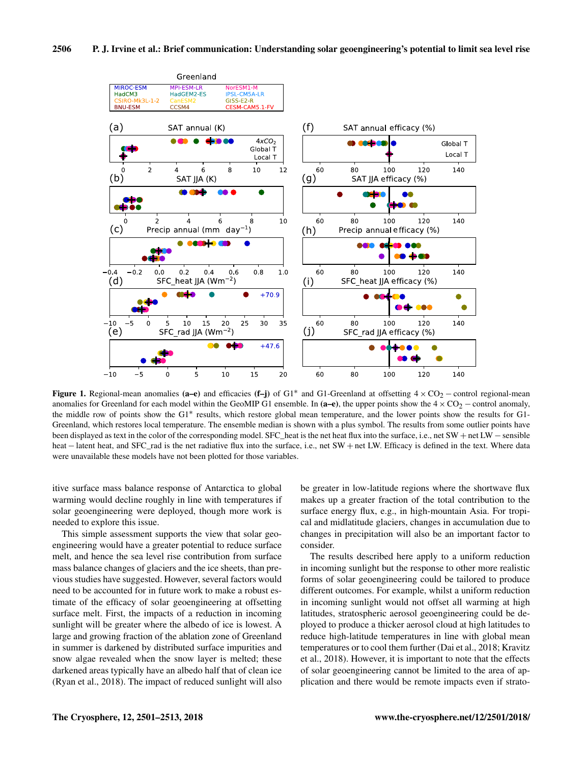

Figure 1. Regional-mean anomalies (a–e) and efficacies (f–j) of G1<sup>\*</sup> and G1-Greenland at offsetting  $4 \times CO_2$  – control regional-mean anomalies for Greenland for each model within the GeoMIP G1 ensemble. In (a–e), the upper points show the  $4 \times CO<sub>2</sub>$  – control anomaly, the middle row of points show the G1<sup>∗</sup> results, which restore global mean temperature, and the lower points show the results for G1- Greenland, which restores local temperature. The ensemble median is shown with a plus symbol. The results from some outlier points have been displayed as text in the color of the corresponding model. SFC\_heat is the net heat flux into the surface, i.e., net SW + net LW − sensible heat – latent heat, and SFC\_rad is the net radiative flux into the surface, i.e., net SW + net LW. Efficacy is defined in the text. Where data were unavailable these models have not been plotted for those variables.

itive surface mass balance response of Antarctica to global warming would decline roughly in line with temperatures if solar geoengineering were deployed, though more work is needed to explore this issue.

This simple assessment supports the view that solar geoengineering would have a greater potential to reduce surface melt, and hence the sea level rise contribution from surface mass balance changes of glaciers and the ice sheets, than previous studies have suggested. However, several factors would need to be accounted for in future work to make a robust estimate of the efficacy of solar geoengineering at offsetting surface melt. First, the impacts of a reduction in incoming sunlight will be greater where the albedo of ice is lowest. A large and growing fraction of the ablation zone of Greenland in summer is darkened by distributed surface impurities and snow algae revealed when the snow layer is melted; these darkened areas typically have an albedo half that of clean ice (Ryan et al., 2018). The impact of reduced sunlight will also be greater in low-latitude regions where the shortwave flux makes up a greater fraction of the total contribution to the surface energy flux, e.g., in high-mountain Asia. For tropical and midlatitude glaciers, changes in accumulation due to changes in precipitation will also be an important factor to consider.

The results described here apply to a uniform reduction in incoming sunlight but the response to other more realistic forms of solar geoengineering could be tailored to produce different outcomes. For example, whilst a uniform reduction in incoming sunlight would not offset all warming at high latitudes, stratospheric aerosol geoengineering could be deployed to produce a thicker aerosol cloud at high latitudes to reduce high-latitude temperatures in line with global mean temperatures or to cool them further (Dai et al., 2018; Kravitz et al., 2018). However, it is important to note that the effects of solar geoengineering cannot be limited to the area of application and there would be remote impacts even if strato-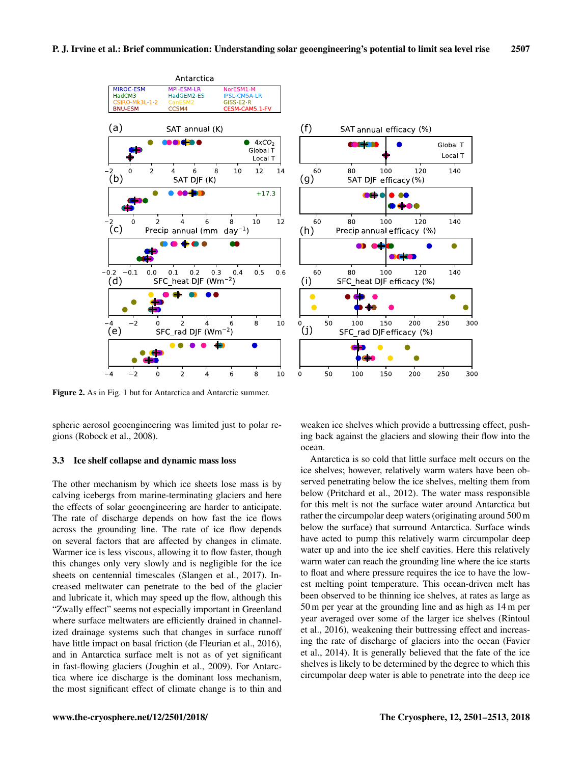



Figure 2. As in Fig. 1 but for Antarctica and Antarctic summer.

spheric aerosol geoengineering was limited just to polar regions (Robock et al., 2008).

## 3.3 Ice shelf collapse and dynamic mass loss

The other mechanism by which ice sheets lose mass is by calving icebergs from marine-terminating glaciers and here the effects of solar geoengineering are harder to anticipate. The rate of discharge depends on how fast the ice flows across the grounding line. The rate of ice flow depends on several factors that are affected by changes in climate. Warmer ice is less viscous, allowing it to flow faster, though this changes only very slowly and is negligible for the ice sheets on centennial timescales (Slangen et al., 2017). Increased meltwater can penetrate to the bed of the glacier and lubricate it, which may speed up the flow, although this "Zwally effect" seems not especially important in Greenland where surface meltwaters are efficiently drained in channelized drainage systems such that changes in surface runoff have little impact on basal friction (de Fleurian et al., 2016), and in Antarctica surface melt is not as of yet significant in fast-flowing glaciers (Joughin et al., 2009). For Antarctica where ice discharge is the dominant loss mechanism, the most significant effect of climate change is to thin and

weaken ice shelves which provide a buttressing effect, pushing back against the glaciers and slowing their flow into the ocean.

Antarctica is so cold that little surface melt occurs on the ice shelves; however, relatively warm waters have been observed penetrating below the ice shelves, melting them from below (Pritchard et al., 2012). The water mass responsible for this melt is not the surface water around Antarctica but rather the circumpolar deep waters (originating around 500 m below the surface) that surround Antarctica. Surface winds have acted to pump this relatively warm circumpolar deep water up and into the ice shelf cavities. Here this relatively warm water can reach the grounding line where the ice starts to float and where pressure requires the ice to have the lowest melting point temperature. This ocean-driven melt has been observed to be thinning ice shelves, at rates as large as 50 m per year at the grounding line and as high as 14 m per year averaged over some of the larger ice shelves (Rintoul et al., 2016), weakening their buttressing effect and increasing the rate of discharge of glaciers into the ocean (Favier et al., 2014). It is generally believed that the fate of the ice shelves is likely to be determined by the degree to which this circumpolar deep water is able to penetrate into the deep ice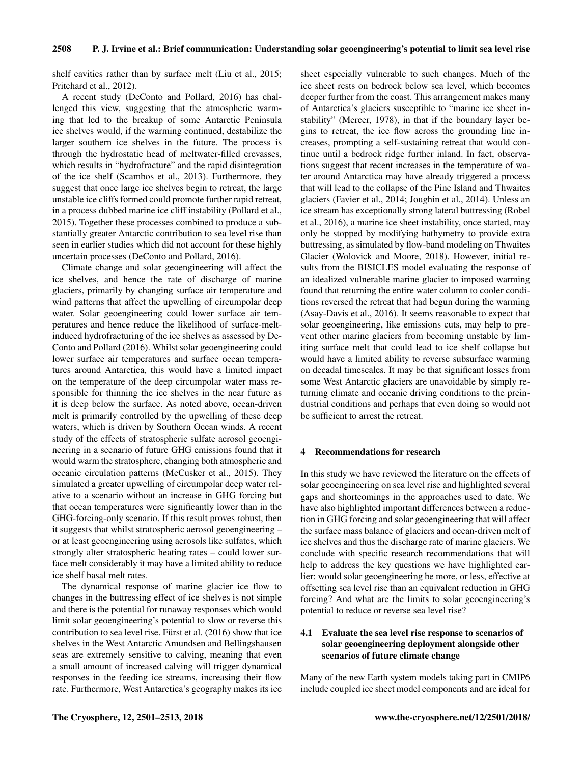shelf cavities rather than by surface melt (Liu et al., 2015; Pritchard et al., 2012).

A recent study (DeConto and Pollard, 2016) has challenged this view, suggesting that the atmospheric warming that led to the breakup of some Antarctic Peninsula ice shelves would, if the warming continued, destabilize the larger southern ice shelves in the future. The process is through the hydrostatic head of meltwater-filled crevasses, which results in "hydrofracture" and the rapid disintegration of the ice shelf (Scambos et al., 2013). Furthermore, they suggest that once large ice shelves begin to retreat, the large unstable ice cliffs formed could promote further rapid retreat, in a process dubbed marine ice cliff instability (Pollard et al., 2015). Together these processes combined to produce a substantially greater Antarctic contribution to sea level rise than seen in earlier studies which did not account for these highly uncertain processes (DeConto and Pollard, 2016).

Climate change and solar geoengineering will affect the ice shelves, and hence the rate of discharge of marine glaciers, primarily by changing surface air temperature and wind patterns that affect the upwelling of circumpolar deep water. Solar geoengineering could lower surface air temperatures and hence reduce the likelihood of surface-meltinduced hydrofracturing of the ice shelves as assessed by De-Conto and Pollard (2016). Whilst solar geoengineering could lower surface air temperatures and surface ocean temperatures around Antarctica, this would have a limited impact on the temperature of the deep circumpolar water mass responsible for thinning the ice shelves in the near future as it is deep below the surface. As noted above, ocean-driven melt is primarily controlled by the upwelling of these deep waters, which is driven by Southern Ocean winds. A recent study of the effects of stratospheric sulfate aerosol geoengineering in a scenario of future GHG emissions found that it would warm the stratosphere, changing both atmospheric and oceanic circulation patterns (McCusker et al., 2015). They simulated a greater upwelling of circumpolar deep water relative to a scenario without an increase in GHG forcing but that ocean temperatures were significantly lower than in the GHG-forcing-only scenario. If this result proves robust, then it suggests that whilst stratospheric aerosol geoengineering – or at least geoengineering using aerosols like sulfates, which strongly alter stratospheric heating rates – could lower surface melt considerably it may have a limited ability to reduce ice shelf basal melt rates.

The dynamical response of marine glacier ice flow to changes in the buttressing effect of ice shelves is not simple and there is the potential for runaway responses which would limit solar geoengineering's potential to slow or reverse this contribution to sea level rise. Fürst et al. (2016) show that ice shelves in the West Antarctic Amundsen and Bellingshausen seas are extremely sensitive to calving, meaning that even a small amount of increased calving will trigger dynamical responses in the feeding ice streams, increasing their flow rate. Furthermore, West Antarctica's geography makes its ice sheet especially vulnerable to such changes. Much of the ice sheet rests on bedrock below sea level, which becomes deeper further from the coast. This arrangement makes many of Antarctica's glaciers susceptible to "marine ice sheet instability" (Mercer, 1978), in that if the boundary layer begins to retreat, the ice flow across the grounding line increases, prompting a self-sustaining retreat that would continue until a bedrock ridge further inland. In fact, observations suggest that recent increases in the temperature of water around Antarctica may have already triggered a process that will lead to the collapse of the Pine Island and Thwaites glaciers (Favier et al., 2014; Joughin et al., 2014). Unless an ice stream has exceptionally strong lateral buttressing (Robel et al., 2016), a marine ice sheet instability, once started, may only be stopped by modifying bathymetry to provide extra buttressing, as simulated by flow-band modeling on Thwaites Glacier (Wolovick and Moore, 2018). However, initial results from the BISICLES model evaluating the response of an idealized vulnerable marine glacier to imposed warming found that returning the entire water column to cooler conditions reversed the retreat that had begun during the warming (Asay-Davis et al., 2016). It seems reasonable to expect that solar geoengineering, like emissions cuts, may help to prevent other marine glaciers from becoming unstable by limiting surface melt that could lead to ice shelf collapse but would have a limited ability to reverse subsurface warming on decadal timescales. It may be that significant losses from some West Antarctic glaciers are unavoidable by simply returning climate and oceanic driving conditions to the preindustrial conditions and perhaps that even doing so would not be sufficient to arrest the retreat.

#### 4 Recommendations for research

In this study we have reviewed the literature on the effects of solar geoengineering on sea level rise and highlighted several gaps and shortcomings in the approaches used to date. We have also highlighted important differences between a reduction in GHG forcing and solar geoengineering that will affect the surface mass balance of glaciers and ocean-driven melt of ice shelves and thus the discharge rate of marine glaciers. We conclude with specific research recommendations that will help to address the key questions we have highlighted earlier: would solar geoengineering be more, or less, effective at offsetting sea level rise than an equivalent reduction in GHG forcing? And what are the limits to solar geoengineering's potential to reduce or reverse sea level rise?

# 4.1 Evaluate the sea level rise response to scenarios of solar geoengineering deployment alongside other scenarios of future climate change

Many of the new Earth system models taking part in CMIP6 include coupled ice sheet model components and are ideal for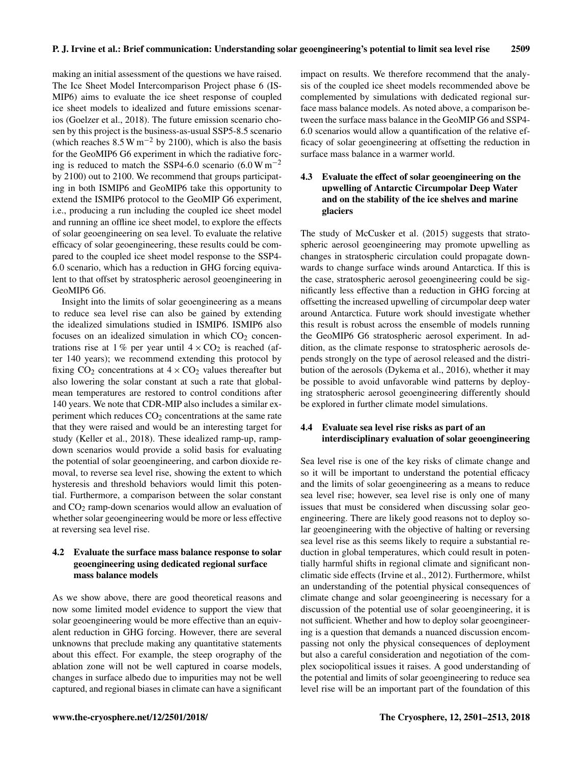making an initial assessment of the questions we have raised. The Ice Sheet Model Intercomparison Project phase 6 (IS-MIP6) aims to evaluate the ice sheet response of coupled ice sheet models to idealized and future emissions scenarios (Goelzer et al., 2018). The future emission scenario chosen by this project is the business-as-usual SSP5-8.5 scenario (which reaches  $8.5 \text{ W m}^{-2}$  by 2100), which is also the basis for the GeoMIP6 G6 experiment in which the radiative forcing is reduced to match the SSP4-6.0 scenario  $(6.0 \,\mathrm{W/m}^{-2})$ by 2100) out to 2100. We recommend that groups participating in both ISMIP6 and GeoMIP6 take this opportunity to extend the ISMIP6 protocol to the GeoMIP G6 experiment, i.e., producing a run including the coupled ice sheet model and running an offline ice sheet model, to explore the effects of solar geoengineering on sea level. To evaluate the relative efficacy of solar geoengineering, these results could be compared to the coupled ice sheet model response to the SSP4- 6.0 scenario, which has a reduction in GHG forcing equivalent to that offset by stratospheric aerosol geoengineering in GeoMIP6 G6.

Insight into the limits of solar geoengineering as a means to reduce sea level rise can also be gained by extending the idealized simulations studied in ISMIP6. ISMIP6 also focuses on an idealized simulation in which  $CO<sub>2</sub>$  concentrations rise at 1% per year until  $4 \times CO_2$  is reached (after 140 years); we recommend extending this protocol by fixing  $CO_2$  concentrations at  $4 \times CO_2$  values thereafter but also lowering the solar constant at such a rate that globalmean temperatures are restored to control conditions after 140 years. We note that CDR-MIP also includes a similar experiment which reduces  $CO<sub>2</sub>$  concentrations at the same rate that they were raised and would be an interesting target for study (Keller et al., 2018). These idealized ramp-up, rampdown scenarios would provide a solid basis for evaluating the potential of solar geoengineering, and carbon dioxide removal, to reverse sea level rise, showing the extent to which hysteresis and threshold behaviors would limit this potential. Furthermore, a comparison between the solar constant and CO<sup>2</sup> ramp-down scenarios would allow an evaluation of whether solar geoengineering would be more or less effective at reversing sea level rise.

## 4.2 Evaluate the surface mass balance response to solar geoengineering using dedicated regional surface mass balance models

As we show above, there are good theoretical reasons and now some limited model evidence to support the view that solar geoengineering would be more effective than an equivalent reduction in GHG forcing. However, there are several unknowns that preclude making any quantitative statements about this effect. For example, the steep orography of the ablation zone will not be well captured in coarse models, changes in surface albedo due to impurities may not be well captured, and regional biases in climate can have a significant impact on results. We therefore recommend that the analysis of the coupled ice sheet models recommended above be complemented by simulations with dedicated regional surface mass balance models. As noted above, a comparison between the surface mass balance in the GeoMIP G6 and SSP4- 6.0 scenarios would allow a quantification of the relative efficacy of solar geoengineering at offsetting the reduction in surface mass balance in a warmer world.

## 4.3 Evaluate the effect of solar geoengineering on the upwelling of Antarctic Circumpolar Deep Water and on the stability of the ice shelves and marine glaciers

The study of McCusker et al. (2015) suggests that stratospheric aerosol geoengineering may promote upwelling as changes in stratospheric circulation could propagate downwards to change surface winds around Antarctica. If this is the case, stratospheric aerosol geoengineering could be significantly less effective than a reduction in GHG forcing at offsetting the increased upwelling of circumpolar deep water around Antarctica. Future work should investigate whether this result is robust across the ensemble of models running the GeoMIP6 G6 stratospheric aerosol experiment. In addition, as the climate response to stratospheric aerosols depends strongly on the type of aerosol released and the distribution of the aerosols (Dykema et al., 2016), whether it may be possible to avoid unfavorable wind patterns by deploying stratospheric aerosol geoengineering differently should be explored in further climate model simulations.

# 4.4 Evaluate sea level rise risks as part of an interdisciplinary evaluation of solar geoengineering

Sea level rise is one of the key risks of climate change and so it will be important to understand the potential efficacy and the limits of solar geoengineering as a means to reduce sea level rise; however, sea level rise is only one of many issues that must be considered when discussing solar geoengineering. There are likely good reasons not to deploy solar geoengineering with the objective of halting or reversing sea level rise as this seems likely to require a substantial reduction in global temperatures, which could result in potentially harmful shifts in regional climate and significant nonclimatic side effects (Irvine et al., 2012). Furthermore, whilst an understanding of the potential physical consequences of climate change and solar geoengineering is necessary for a discussion of the potential use of solar geoengineering, it is not sufficient. Whether and how to deploy solar geoengineering is a question that demands a nuanced discussion encompassing not only the physical consequences of deployment but also a careful consideration and negotiation of the complex sociopolitical issues it raises. A good understanding of the potential and limits of solar geoengineering to reduce sea level rise will be an important part of the foundation of this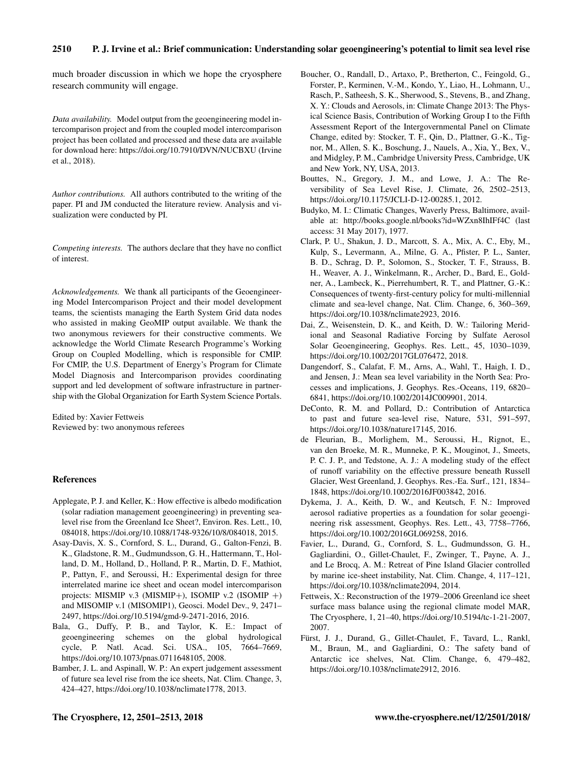## 2510 P. J. Irvine et al.: Brief communication: Understanding solar geoengineering's potential to limit sea level rise

much broader discussion in which we hope the cryosphere research community will engage.

*Data availability.* Model output from the geoengineering model intercomparison project and from the coupled model intercomparison project has been collated and processed and these data are available for download here: <https://doi.org/10.7910/DVN/NUCBXU> (Irvine et al., 2018).

*Author contributions.* All authors contributed to the writing of the paper. PI and JM conducted the literature review. Analysis and visualization were conducted by PI.

*Competing interests.* The authors declare that they have no conflict of interest.

*Acknowledgements.* We thank all participants of the Geoengineering Model Intercomparison Project and their model development teams, the scientists managing the Earth System Grid data nodes who assisted in making GeoMIP output available. We thank the two anonymous reviewers for their constructive comments. We acknowledge the World Climate Research Programme's Working Group on Coupled Modelling, which is responsible for CMIP. For CMIP, the U.S. Department of Energy's Program for Climate Model Diagnosis and Intercomparison provides coordinating support and led development of software infrastructure in partnership with the Global Organization for Earth System Science Portals.

Edited by: Xavier Fettweis Reviewed by: two anonymous referees

#### References

- Applegate, P. J. and Keller, K.: How effective is albedo modification (solar radiation management geoengineering) in preventing sealevel rise from the Greenland Ice Sheet?, Environ. Res. Lett., 10, 084018, https://doi.org[/10.1088/1748-9326/10/8/084018,](https://doi.org/10.1088/1748-9326/10/8/084018) 2015.
- Asay-Davis, X. S., Cornford, S. L., Durand, G., Galton-Fenzi, B. K., Gladstone, R. M., Gudmundsson, G. H., Hattermann, T., Holland, D. M., Holland, D., Holland, P. R., Martin, D. F., Mathiot, P., Pattyn, F., and Seroussi, H.: Experimental design for three interrelated marine ice sheet and ocean model intercomparison projects: MISMIP v.3 (MISMIP+), ISOMIP v.2 (ISOMIP +) and MISOMIP v.1 (MISOMIP1), Geosci. Model Dev., 9, 2471– 2497, https://doi.org[/10.5194/gmd-9-2471-2016,](https://doi.org/10.5194/gmd-9-2471-2016) 2016.
- Bala, G., Duffy, P. B., and Taylor, K. E.: Impact of geoengineering schemes on the global hydrological cycle, P. Natl. Acad. Sci. USA., 105, 7664–7669, https://doi.org[/10.1073/pnas.0711648105,](https://doi.org/10.1073/pnas.0711648105) 2008.
- Bamber, J. L. and Aspinall, W. P.: An expert judgement assessment of future sea level rise from the ice sheets, Nat. Clim. Change, 3, 424–427, https://doi.org[/10.1038/nclimate1778,](https://doi.org/10.1038/nclimate1778) 2013.
- Boucher, O., Randall, D., Artaxo, P., Bretherton, C., Feingold, G., Forster, P., Kerminen, V.-M., Kondo, Y., Liao, H., Lohmann, U., Rasch, P., Satheesh, S. K., Sherwood, S., Stevens, B., and Zhang, X. Y.: Clouds and Aerosols, in: Climate Change 2013: The Physical Science Basis, Contribution of Working Group I to the Fifth Assessment Report of the Intergovernmental Panel on Climate Change, edited by: Stocker, T. F., Qin, D., Plattner, G.-K., Tignor, M., Allen, S. K., Boschung, J., Nauels, A., Xia, Y., Bex, V., and Midgley, P. M., Cambridge University Press, Cambridge, UK and New York, NY, USA, 2013.
- Bouttes, N., Gregory, J. M., and Lowe, J. A.: The Reversibility of Sea Level Rise, J. Climate, 26, 2502–2513, https://doi.org[/10.1175/JCLI-D-12-00285.1,](https://doi.org/10.1175/JCLI-D-12-00285.1) 2012.
- Budyko, M. I.: Climatic Changes, Waverly Press, Baltimore, available at: <http://books.google.nl/books?id=WZxn8IhIFf4C> (last access: 31 May 2017), 1977.
- Clark, P. U., Shakun, J. D., Marcott, S. A., Mix, A. C., Eby, M., Kulp, S., Levermann, A., Milne, G. A., Pfister, P. L., Santer, B. D., Schrag, D. P., Solomon, S., Stocker, T. F., Strauss, B. H., Weaver, A. J., Winkelmann, R., Archer, D., Bard, E., Goldner, A., Lambeck, K., Pierrehumbert, R. T., and Plattner, G.-K.: Consequences of twenty-first-century policy for multi-millennial climate and sea-level change, Nat. Clim. Change, 6, 360–369, https://doi.org[/10.1038/nclimate2923,](https://doi.org/10.1038/nclimate2923) 2016.
- Dai, Z., Weisenstein, D. K., and Keith, D. W.: Tailoring Meridional and Seasonal Radiative Forcing by Sulfate Aerosol Solar Geoengineering, Geophys. Res. Lett., 45, 1030–1039, https://doi.org[/10.1002/2017GL076472,](https://doi.org/10.1002/2017GL076472) 2018.
- Dangendorf, S., Calafat, F. M., Arns, A., Wahl, T., Haigh, I. D., and Jensen, J.: Mean sea level variability in the North Sea: Processes and implications, J. Geophys. Res.-Oceans, 119, 6820– 6841, https://doi.org[/10.1002/2014JC009901,](https://doi.org/10.1002/2014JC009901) 2014.
- DeConto, R. M. and Pollard, D.: Contribution of Antarctica to past and future sea-level rise, Nature, 531, 591–597, https://doi.org[/10.1038/nature17145,](https://doi.org/10.1038/nature17145) 2016.
- de Fleurian, B., Morlighem, M., Seroussi, H., Rignot, E., van den Broeke, M. R., Munneke, P. K., Mouginot, J., Smeets, P. C. J. P., and Tedstone, A. J.: A modeling study of the effect of runoff variability on the effective pressure beneath Russell Glacier, West Greenland, J. Geophys. Res.-Ea. Surf., 121, 1834– 1848, https://doi.org[/10.1002/2016JF003842,](https://doi.org/10.1002/2016JF003842) 2016.
- Dykema, J. A., Keith, D. W., and Keutsch, F. N.: Improved aerosol radiative properties as a foundation for solar geoengineering risk assessment, Geophys. Res. Lett., 43, 7758–7766, https://doi.org[/10.1002/2016GL069258,](https://doi.org/10.1002/2016GL069258) 2016.
- Favier, L., Durand, G., Cornford, S. L., Gudmundsson, G. H., Gagliardini, O., Gillet-Chaulet, F., Zwinger, T., Payne, A. J., and Le Brocq, A. M.: Retreat of Pine Island Glacier controlled by marine ice-sheet instability, Nat. Clim. Change, 4, 117–121, https://doi.org[/10.1038/nclimate2094,](https://doi.org/10.1038/nclimate2094) 2014.
- Fettweis, X.: Reconstruction of the 1979–2006 Greenland ice sheet surface mass balance using the regional climate model MAR, The Cryosphere, 1, 21–40, https://doi.org[/10.5194/tc-1-21-2007,](https://doi.org/10.5194/tc-1-21-2007) 2007.
- Fürst, J. J., Durand, G., Gillet-Chaulet, F., Tavard, L., Rankl, M., Braun, M., and Gagliardini, O.: The safety band of Antarctic ice shelves, Nat. Clim. Change, 6, 479–482, https://doi.org[/10.1038/nclimate2912,](https://doi.org/10.1038/nclimate2912) 2016.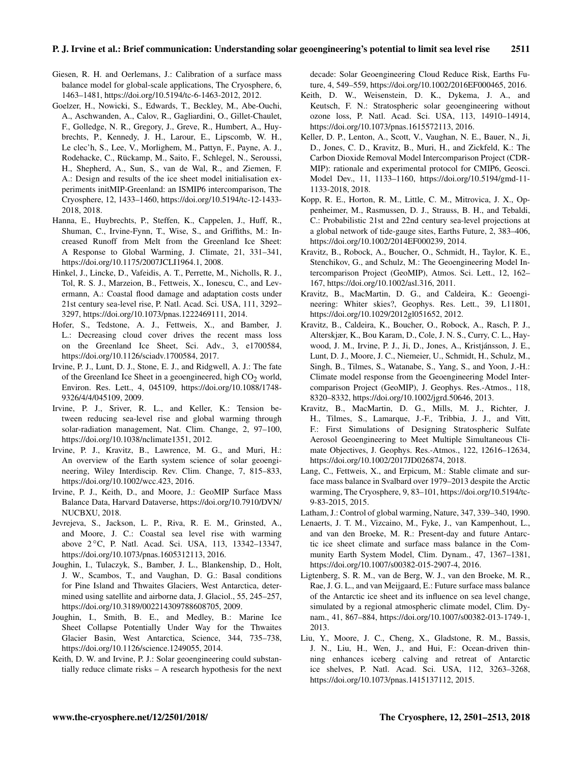- Giesen, R. H. and Oerlemans, J.: Calibration of a surface mass balance model for global-scale applications, The Cryosphere, 6, 1463–1481, https://doi.org[/10.5194/tc-6-1463-2012,](https://doi.org/10.5194/tc-6-1463-2012) 2012.
- Goelzer, H., Nowicki, S., Edwards, T., Beckley, M., Abe-Ouchi, A., Aschwanden, A., Calov, R., Gagliardini, O., Gillet-Chaulet, F., Golledge, N. R., Gregory, J., Greve, R., Humbert, A., Huybrechts, P., Kennedy, J. H., Larour, E., Lipscomb, W. H., Le clec'h, S., Lee, V., Morlighem, M., Pattyn, F., Payne, A. J., Rodehacke, C., Rückamp, M., Saito, F., Schlegel, N., Seroussi, H., Shepherd, A., Sun, S., van de Wal, R., and Ziemen, F. A.: Design and results of the ice sheet model initialisation experiments initMIP-Greenland: an ISMIP6 intercomparison, The Cryosphere, 12, 1433–1460, https://doi.org[/10.5194/tc-12-1433-](https://doi.org/10.5194/tc-12-1433-2018) [2018,](https://doi.org/10.5194/tc-12-1433-2018) 2018.
- Hanna, E., Huybrechts, P., Steffen, K., Cappelen, J., Huff, R., Shuman, C., Irvine-Fynn, T., Wise, S., and Griffiths, M.: Increased Runoff from Melt from the Greenland Ice Sheet: A Response to Global Warming, J. Climate, 21, 331–341, https://doi.org[/10.1175/2007JCLI1964.1,](https://doi.org/10.1175/2007JCLI1964.1) 2008.
- Hinkel, J., Lincke, D., Vafeidis, A. T., Perrette, M., Nicholls, R. J., Tol, R. S. J., Marzeion, B., Fettweis, X., Ionescu, C., and Levermann, A.: Coastal flood damage and adaptation costs under 21st century sea-level rise, P. Natl. Acad. Sci. USA, 111, 3292– 3297, https://doi.org[/10.1073/pnas.1222469111,](https://doi.org/10.1073/pnas.1222469111) 2014.
- Hofer, S., Tedstone, A. J., Fettweis, X., and Bamber, J. L.: Decreasing cloud cover drives the recent mass loss on the Greenland Ice Sheet, Sci. Adv., 3, e1700584, https://doi.org[/10.1126/sciadv.1700584,](https://doi.org/10.1126/sciadv.1700584) 2017.
- Irvine, P. J., Lunt, D. J., Stone, E. J., and Ridgwell, A. J.: The fate of the Greenland Ice Sheet in a geoengineered, high  $CO<sub>2</sub>$  world, Environ. Res. Lett., 4, 045109, https://doi.org[/10.1088/1748-](https://doi.org/10.1088/1748-9326/4/4/045109) [9326/4/4/045109,](https://doi.org/10.1088/1748-9326/4/4/045109) 2009.
- Irvine, P. J., Sriver, R. L., and Keller, K.: Tension between reducing sea-level rise and global warming through solar-radiation management, Nat. Clim. Change, 2, 97–100, https://doi.org[/10.1038/nclimate1351,](https://doi.org/10.1038/nclimate1351) 2012.
- Irvine, P. J., Kravitz, B., Lawrence, M. G., and Muri, H.: An overview of the Earth system science of solar geoengineering, Wiley Interdiscip. Rev. Clim. Change, 7, 815–833, https://doi.org[/10.1002/wcc.423,](https://doi.org/10.1002/wcc.423) 2016.
- Irvine, P. J., Keith, D., and Moore, J.: GeoMIP Surface Mass Balance Data, Harvard Dataverse, [https://doi.org/10.7910/DVN/](https://doi.org/10.7910/DVN/NUCBXU) [NUCBXU,](https://doi.org/10.7910/DVN/NUCBXU) 2018.
- Jevrejeva, S., Jackson, L. P., Riva, R. E. M., Grinsted, A., and Moore, J. C.: Coastal sea level rise with warming above 2 ◦C, P. Natl. Acad. Sci. USA, 113, 13342–13347, https://doi.org[/10.1073/pnas.1605312113,](https://doi.org/10.1073/pnas.1605312113) 2016.
- Joughin, I., Tulaczyk, S., Bamber, J. L., Blankenship, D., Holt, J. W., Scambos, T., and Vaughan, D. G.: Basal conditions for Pine Island and Thwaites Glaciers, West Antarctica, determined using satellite and airborne data, J. Glaciol., 55, 245–257, https://doi.org[/10.3189/002214309788608705,](https://doi.org/10.3189/002214309788608705) 2009.
- Joughin, I., Smith, B. E., and Medley, B.: Marine Ice Sheet Collapse Potentially Under Way for the Thwaites Glacier Basin, West Antarctica, Science, 344, 735–738, https://doi.org[/10.1126/science.1249055,](https://doi.org/10.1126/science.1249055) 2014.
- Keith, D. W. and Irvine, P. J.: Solar geoengineering could substantially reduce climate risks – A research hypothesis for the next

decade: Solar Geoengineering Cloud Reduce Risk, Earths Future, 4, 549–559, https://doi.org[/10.1002/2016EF000465,](https://doi.org/10.1002/2016EF000465) 2016.

- Keith, D. W., Weisenstein, D. K., Dykema, J. A., and Keutsch, F. N.: Stratospheric solar geoengineering without ozone loss, P. Natl. Acad. Sci. USA, 113, 14910–14914, https://doi.org[/10.1073/pnas.1615572113,](https://doi.org/10.1073/pnas.1615572113) 2016.
- Keller, D. P., Lenton, A., Scott, V., Vaughan, N. E., Bauer, N., Ji, D., Jones, C. D., Kravitz, B., Muri, H., and Zickfeld, K.: The Carbon Dioxide Removal Model Intercomparison Project (CDR-MIP): rationale and experimental protocol for CMIP6, Geosci. Model Dev., 11, 1133–1160, https://doi.org[/10.5194/gmd-11-](https://doi.org/10.5194/gmd-11-1133-2018) [1133-2018,](https://doi.org/10.5194/gmd-11-1133-2018) 2018.
- Kopp, R. E., Horton, R. M., Little, C. M., Mitrovica, J. X., Oppenheimer, M., Rasmussen, D. J., Strauss, B. H., and Tebaldi, C.: Probabilistic 21st and 22nd century sea-level projections at a global network of tide-gauge sites, Earths Future, 2, 383–406, https://doi.org[/10.1002/2014EF000239,](https://doi.org/10.1002/2014EF000239) 2014.
- Kravitz, B., Robock, A., Boucher, O., Schmidt, H., Taylor, K. E., Stenchikov, G., and Schulz, M.: The Geoengineering Model Intercomparison Project (GeoMIP), Atmos. Sci. Lett., 12, 162– 167, https://doi.org[/10.1002/asl.316,](https://doi.org/10.1002/asl.316) 2011.
- Kravitz, B., MacMartin, D. G., and Caldeira, K.: Geoengineering: Whiter skies?, Geophys. Res. Lett., 39, L11801, https://doi.org[/10.1029/2012gl051652,](https://doi.org/10.1029/2012gl051652) 2012.
- Kravitz, B., Caldeira, K., Boucher, O., Robock, A., Rasch, P. J., Alterskjær, K., Bou Karam, D., Cole, J. N. S., Curry, C. L., Haywood, J. M., Irvine, P. J., Ji, D., Jones, A., Kristjánsson, J. E., Lunt, D. J., Moore, J. C., Niemeier, U., Schmidt, H., Schulz, M., Singh, B., Tilmes, S., Watanabe, S., Yang, S., and Yoon, J.-H.: Climate model response from the Geoengineering Model Intercomparison Project (GeoMIP), J. Geophys. Res.-Atmos., 118, 8320–8332, https://doi.org[/10.1002/jgrd.50646,](https://doi.org/10.1002/jgrd.50646) 2013.
- Kravitz, B., MacMartin, D. G., Mills, M. J., Richter, J. H., Tilmes, S., Lamarque, J.-F., Tribbia, J. J., and Vitt, F.: First Simulations of Designing Stratospheric Sulfate Aerosol Geoengineering to Meet Multiple Simultaneous Climate Objectives, J. Geophys. Res.-Atmos., 122, 12616–12634, https://doi.org[/10.1002/2017JD026874,](https://doi.org/10.1002/2017JD026874) 2018.
- Lang, C., Fettweis, X., and Erpicum, M.: Stable climate and surface mass balance in Svalbard over 1979–2013 despite the Arctic warming, The Cryosphere, 9, 83–101, https://doi.org[/10.5194/tc-](https://doi.org/10.5194/tc-9-83-2015)[9-83-2015,](https://doi.org/10.5194/tc-9-83-2015) 2015.
- Latham, J.: Control of global warming, Nature, 347, 339–340, 1990.
- Lenaerts, J. T. M., Vizcaino, M., Fyke, J., van Kampenhout, L., and van den Broeke, M. R.: Present-day and future Antarctic ice sheet climate and surface mass balance in the Community Earth System Model, Clim. Dynam., 47, 1367–1381, https://doi.org[/10.1007/s00382-015-2907-4,](https://doi.org/10.1007/s00382-015-2907-4) 2016.
- Ligtenberg, S. R. M., van de Berg, W. J., van den Broeke, M. R., Rae, J. G. L., and van Meijgaard, E.: Future surface mass balance of the Antarctic ice sheet and its influence on sea level change, simulated by a regional atmospheric climate model, Clim. Dynam., 41, 867–884, https://doi.org[/10.1007/s00382-013-1749-1,](https://doi.org/10.1007/s00382-013-1749-1) 2013.
- Liu, Y., Moore, J. C., Cheng, X., Gladstone, R. M., Bassis, J. N., Liu, H., Wen, J., and Hui, F.: Ocean-driven thinning enhances iceberg calving and retreat of Antarctic ice shelves, P. Natl. Acad. Sci. USA, 112, 3263–3268, https://doi.org[/10.1073/pnas.1415137112,](https://doi.org/10.1073/pnas.1415137112) 2015.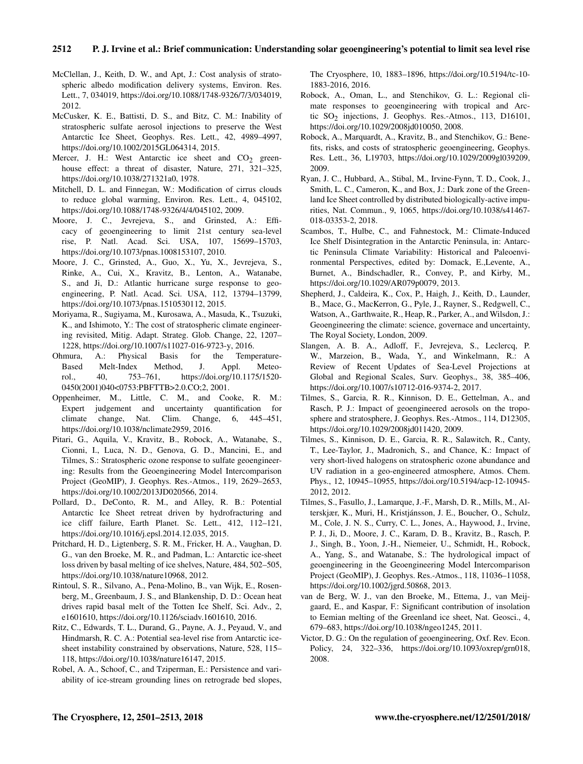- McClellan, J., Keith, D. W., and Apt, J.: Cost analysis of stratospheric albedo modification delivery systems, Environ. Res. Lett., 7, 034019, https://doi.org[/10.1088/1748-9326/7/3/034019,](https://doi.org/10.1088/1748-9326/7/3/034019) 2012.
- McCusker, K. E., Battisti, D. S., and Bitz, C. M.: Inability of stratospheric sulfate aerosol injections to preserve the West Antarctic Ice Sheet, Geophys. Res. Lett., 42, 4989–4997, https://doi.org[/10.1002/2015GL064314,](https://doi.org/10.1002/2015GL064314) 2015.
- Mercer, J. H.: West Antarctic ice sheet and  $CO<sub>2</sub>$  greenhouse effect: a threat of disaster, Nature, 271, 321–325, https://doi.org[/10.1038/271321a0,](https://doi.org/10.1038/271321a0) 1978.
- Mitchell, D. L. and Finnegan, W.: Modification of cirrus clouds to reduce global warming, Environ. Res. Lett., 4, 045102, https://doi.org[/10.1088/1748-9326/4/4/045102,](https://doi.org/10.1088/1748-9326/4/4/045102) 2009.
- Moore, J. C., Jevrejeva, S., and Grinsted, A.: Efficacy of geoengineering to limit 21st century sea-level rise, P. Natl. Acad. Sci. USA, 107, 15699–15703, https://doi.org[/10.1073/pnas.1008153107,](https://doi.org/10.1073/pnas.1008153107) 2010.
- Moore, J. C., Grinsted, A., Guo, X., Yu, X., Jevrejeva, S., Rinke, A., Cui, X., Kravitz, B., Lenton, A., Watanabe, S., and Ji, D.: Atlantic hurricane surge response to geoengineering, P. Natl. Acad. Sci. USA, 112, 13794–13799, https://doi.org[/10.1073/pnas.1510530112,](https://doi.org/10.1073/pnas.1510530112) 2015.
- Moriyama, R., Sugiyama, M., Kurosawa, A., Masuda, K., Tsuzuki, K., and Ishimoto, Y.: The cost of stratospheric climate engineering revisited, Mitig. Adapt. Strateg. Glob. Change, 22, 1207– 1228, https://doi.org[/10.1007/s11027-016-9723-y,](https://doi.org/10.1007/s11027-016-9723-y) 2016.
- Ohmura, A.: Physical Basis for the Temperature-Based Melt-Index Method, J. Appl. Meteorol., 40, 753–761, https://doi.org[/10.1175/1520-](https://doi.org/10.1175/1520-0450(2001)040<0753:PBFTTB>2.0.CO;2) [0450\(2001\)040<0753:PBFTTB>2.0.CO;2,](https://doi.org/10.1175/1520-0450(2001)040<0753:PBFTTB>2.0.CO;2) 2001.
- Oppenheimer, M., Little, C. M., and Cooke, R. M.: Expert judgement and uncertainty quantification for climate change, Nat. Clim. Change, 6, 445–451, https://doi.org[/10.1038/nclimate2959,](https://doi.org/10.1038/nclimate2959) 2016.
- Pitari, G., Aquila, V., Kravitz, B., Robock, A., Watanabe, S., Cionni, I., Luca, N. D., Genova, G. D., Mancini, E., and Tilmes, S.: Stratospheric ozone response to sulfate geoengineering: Results from the Geoengineering Model Intercomparison Project (GeoMIP), J. Geophys. Res.-Atmos., 119, 2629–2653, https://doi.org[/10.1002/2013JD020566,](https://doi.org/10.1002/2013JD020566) 2014.
- Pollard, D., DeConto, R. M., and Alley, R. B.: Potential Antarctic Ice Sheet retreat driven by hydrofracturing and ice cliff failure, Earth Planet. Sc. Lett., 412, 112–121, https://doi.org[/10.1016/j.epsl.2014.12.035,](https://doi.org/10.1016/j.epsl.2014.12.035) 2015.
- Pritchard, H. D., Ligtenberg, S. R. M., Fricker, H. A., Vaughan, D. G., van den Broeke, M. R., and Padman, L.: Antarctic ice-sheet loss driven by basal melting of ice shelves, Nature, 484, 502–505, https://doi.org[/10.1038/nature10968,](https://doi.org/10.1038/nature10968) 2012.
- Rintoul, S. R., Silvano, A., Pena-Molino, B., van Wijk, E., Rosenberg, M., Greenbaum, J. S., and Blankenship, D. D.: Ocean heat drives rapid basal melt of the Totten Ice Shelf, Sci. Adv., 2, e1601610, https://doi.org[/10.1126/sciadv.1601610,](https://doi.org/10.1126/sciadv.1601610) 2016.
- Ritz, C., Edwards, T. L., Durand, G., Payne, A. J., Peyaud, V., and Hindmarsh, R. C. A.: Potential sea-level rise from Antarctic icesheet instability constrained by observations, Nature, 528, 115– 118, https://doi.org[/10.1038/nature16147,](https://doi.org/10.1038/nature16147) 2015.
- Robel, A. A., Schoof, C., and Tziperman, E.: Persistence and variability of ice-stream grounding lines on retrograde bed slopes,

The Cryosphere, 10, 1883–1896, https://doi.org[/10.5194/tc-10-](https://doi.org/10.5194/tc-10-1883-2016) [1883-2016,](https://doi.org/10.5194/tc-10-1883-2016) 2016.

- Robock, A., Oman, L., and Stenchikov, G. L.: Regional climate responses to geoengineering with tropical and Arctic SO2 injections, J. Geophys. Res.-Atmos., 113, D16101, https://doi.org[/10.1029/2008jd010050,](https://doi.org/10.1029/2008jd010050) 2008.
- Robock, A., Marquardt, A., Kravitz, B., and Stenchikov, G.: Benefits, risks, and costs of stratospheric geoengineering, Geophys. Res. Lett., 36, L19703, https://doi.org[/10.1029/2009gl039209,](https://doi.org/10.1029/2009gl039209) 2009.
- Ryan, J. C., Hubbard, A., Stibal, M., Irvine-Fynn, T. D., Cook, J., Smith, L. C., Cameron, K., and Box, J.: Dark zone of the Greenland Ice Sheet controlled by distributed biologically-active impurities, Nat. Commun., 9, 1065, https://doi.org[/10.1038/s41467-](https://doi.org/10.1038/s41467-018-03353-2) [018-03353-2,](https://doi.org/10.1038/s41467-018-03353-2) 2018.
- Scambos, T., Hulbe, C., and Fahnestock, M.: Climate-Induced Ice Shelf Disintegration in the Antarctic Peninsula, in: Antarctic Peninsula Climate Variability: Historical and Paleoenvironmental Perspectives, edited by: Domack, E.,Levente, A., Burnet, A., Bindschadler, R., Convey, P., and Kirby, M., https://doi.org[/10.1029/AR079p0079,](https://doi.org/10.1029/AR079p0079) 2013.
- Shepherd, J., Caldeira, K., Cox, P., Haigh, J., Keith, D., Launder, B., Mace, G., MacKerron, G., Pyle, J., Rayner, S., Redgwell, C., Watson, A., Garthwaite, R., Heap, R., Parker, A., and Wilsdon, J.: Geoengineering the climate: science, governace and uncertainty, The Royal Society, London, 2009.
- Slangen, A. B. A., Adloff, F., Jevrejeva, S., Leclercq, P. W., Marzeion, B., Wada, Y., and Winkelmann, R.: A Review of Recent Updates of Sea-Level Projections at Global and Regional Scales, Surv. Geophys., 38, 385–406, https://doi.org[/10.1007/s10712-016-9374-2,](https://doi.org/10.1007/s10712-016-9374-2) 2017.
- Tilmes, S., Garcia, R. R., Kinnison, D. E., Gettelman, A., and Rasch, P. J.: Impact of geoengineered aerosols on the troposphere and stratosphere, J. Geophys. Res.-Atmos., 114, D12305, https://doi.org[/10.1029/2008jd011420,](https://doi.org/10.1029/2008jd011420) 2009.
- Tilmes, S., Kinnison, D. E., Garcia, R. R., Salawitch, R., Canty, T., Lee-Taylor, J., Madronich, S., and Chance, K.: Impact of very short-lived halogens on stratospheric ozone abundance and UV radiation in a geo-engineered atmosphere, Atmos. Chem. Phys., 12, 10945–10955, https://doi.org[/10.5194/acp-12-10945-](https://doi.org/10.5194/acp-12-10945-2012) [2012,](https://doi.org/10.5194/acp-12-10945-2012) 2012.
- Tilmes, S., Fasullo, J., Lamarque, J.-F., Marsh, D. R., Mills, M., Alterskjær, K., Muri, H., Kristjánsson, J. E., Boucher, O., Schulz, M., Cole, J. N. S., Curry, C. L., Jones, A., Haywood, J., Irvine, P. J., Ji, D., Moore, J. C., Karam, D. B., Kravitz, B., Rasch, P. J., Singh, B., Yoon, J.-H., Niemeier, U., Schmidt, H., Robock, A., Yang, S., and Watanabe, S.: The hydrological impact of geoengineering in the Geoengineering Model Intercomparison Project (GeoMIP), J. Geophys. Res.-Atmos., 118, 11036–11058, https://doi.org[/10.1002/jgrd.50868,](https://doi.org/10.1002/jgrd.50868) 2013.
- van de Berg, W. J., van den Broeke, M., Ettema, J., van Meijgaard, E., and Kaspar, F.: Significant contribution of insolation to Eemian melting of the Greenland ice sheet, Nat. Geosci., 4, 679–683, https://doi.org[/10.1038/ngeo1245,](https://doi.org/10.1038/ngeo1245) 2011.
- Victor, D. G.: On the regulation of geoengineering, Oxf. Rev. Econ. Policy, 24, 322–336, https://doi.org[/10.1093/oxrep/grn018,](https://doi.org/10.1093/oxrep/grn018) 2008.